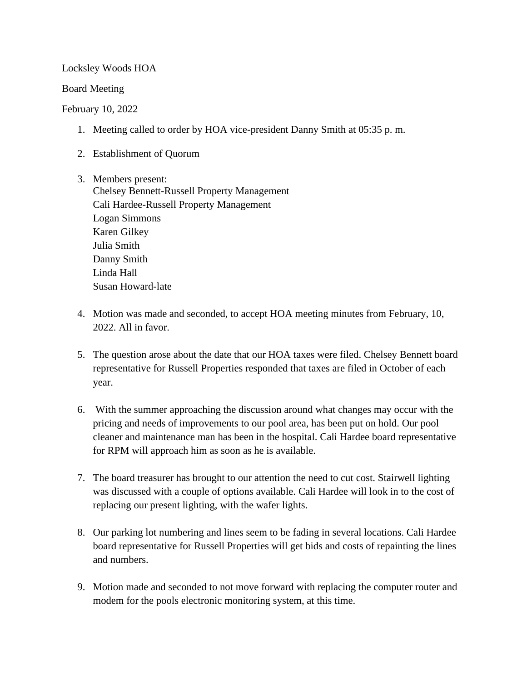Locksley Woods HOA

Board Meeting

## February 10, 2022

- 1. Meeting called to order by HOA vice-president Danny Smith at 05:35 p. m.
- 2. Establishment of Quorum
- 3. Members present: Chelsey Bennett-Russell Property Management Cali Hardee-Russell Property Management Logan Simmons Karen Gilkey Julia Smith Danny Smith Linda Hall Susan Howard-late
- 4. Motion was made and seconded, to accept HOA meeting minutes from February, 10, 2022. All in favor.
- 5. The question arose about the date that our HOA taxes were filed. Chelsey Bennett board representative for Russell Properties responded that taxes are filed in October of each year.
- 6. With the summer approaching the discussion around what changes may occur with the pricing and needs of improvements to our pool area, has been put on hold. Our pool cleaner and maintenance man has been in the hospital. Cali Hardee board representative for RPM will approach him as soon as he is available.
- 7. The board treasurer has brought to our attention the need to cut cost. Stairwell lighting was discussed with a couple of options available. Cali Hardee will look in to the cost of replacing our present lighting, with the wafer lights.
- 8. Our parking lot numbering and lines seem to be fading in several locations. Cali Hardee board representative for Russell Properties will get bids and costs of repainting the lines and numbers.
- 9. Motion made and seconded to not move forward with replacing the computer router and modem for the pools electronic monitoring system, at this time.